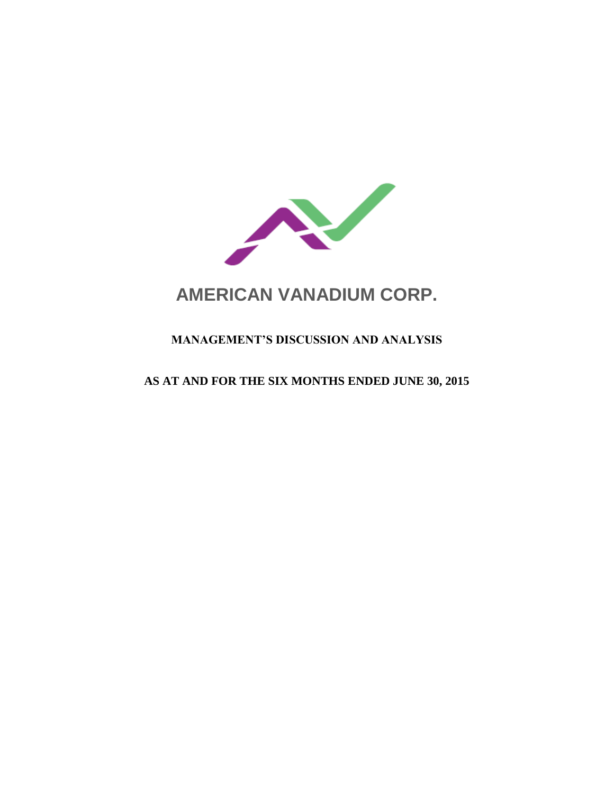

# **AMERICAN VANADIUM CORP.**

# **MANAGEMENT'S DISCUSSION AND ANALYSIS**

## **AS AT AND FOR THE SIX MONTHS ENDED JUNE 30, 2015**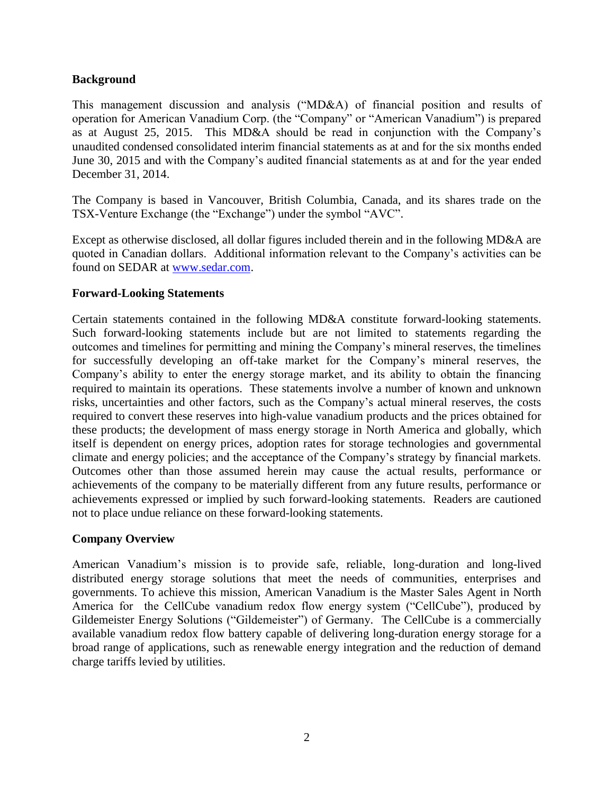#### **Background**

This management discussion and analysis ("MD&A) of financial position and results of operation for American Vanadium Corp. (the "Company" or "American Vanadium") is prepared as at August 25, 2015. This MD&A should be read in conjunction with the Company's unaudited condensed consolidated interim financial statements as at and for the six months ended June 30, 2015 and with the Company's audited financial statements as at and for the year ended December 31, 2014.

The Company is based in Vancouver, British Columbia, Canada, and its shares trade on the TSX-Venture Exchange (the "Exchange") under the symbol "AVC".

Except as otherwise disclosed, all dollar figures included therein and in the following MD&A are quoted in Canadian dollars. Additional information relevant to the Company's activities can be found on SEDAR at [www.sedar.com.](http://www.sedar.com/)

#### **Forward-Looking Statements**

Certain statements contained in the following MD&A constitute forward-looking statements. Such forward-looking statements include but are not limited to statements regarding the outcomes and timelines for permitting and mining the Company's mineral reserves, the timelines for successfully developing an off-take market for the Company's mineral reserves, the Company's ability to enter the energy storage market, and its ability to obtain the financing required to maintain its operations. These statements involve a number of known and unknown risks, uncertainties and other factors, such as the Company's actual mineral reserves, the costs required to convert these reserves into high-value vanadium products and the prices obtained for these products; the development of mass energy storage in North America and globally, which itself is dependent on energy prices, adoption rates for storage technologies and governmental climate and energy policies; and the acceptance of the Company's strategy by financial markets. Outcomes other than those assumed herein may cause the actual results, performance or achievements of the company to be materially different from any future results, performance or achievements expressed or implied by such forward-looking statements. Readers are cautioned not to place undue reliance on these forward-looking statements.

#### **Company Overview**

American Vanadium's mission is to provide safe, reliable, long-duration and long-lived distributed energy storage solutions that meet the needs of communities, enterprises and governments. To achieve this mission, American Vanadium is the Master Sales Agent in North America for the CellCube vanadium redox flow energy system ("CellCube"), produced by Gildemeister Energy Solutions ("Gildemeister") of Germany. The CellCube is a commercially available vanadium redox flow battery capable of delivering long-duration energy storage for a broad range of applications, such as renewable energy integration and the reduction of demand charge tariffs levied by utilities.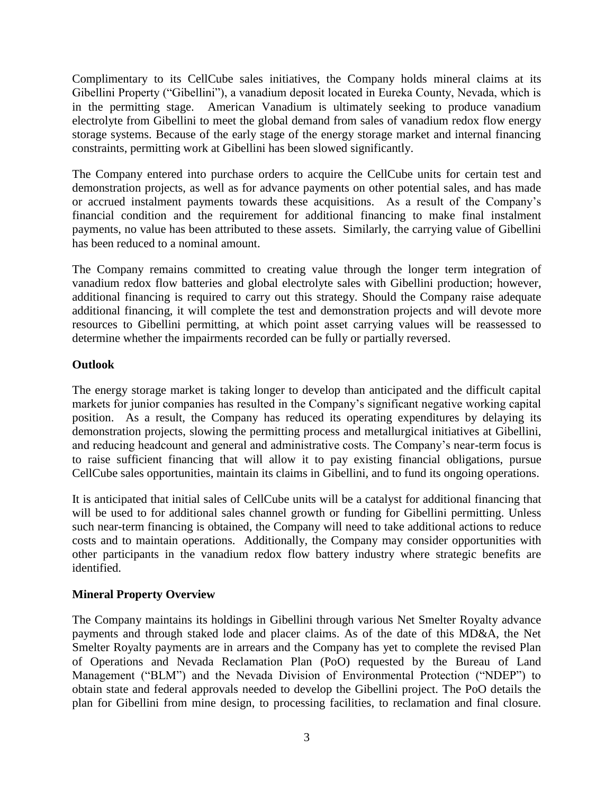Complimentary to its CellCube sales initiatives, the Company holds mineral claims at its Gibellini Property ("Gibellini"), a vanadium deposit located in Eureka County, Nevada, which is in the permitting stage. American Vanadium is ultimately seeking to produce vanadium electrolyte from Gibellini to meet the global demand from sales of vanadium redox flow energy storage systems. Because of the early stage of the energy storage market and internal financing constraints, permitting work at Gibellini has been slowed significantly.

The Company entered into purchase orders to acquire the CellCube units for certain test and demonstration projects, as well as for advance payments on other potential sales, and has made or accrued instalment payments towards these acquisitions. As a result of the Company's financial condition and the requirement for additional financing to make final instalment payments, no value has been attributed to these assets. Similarly, the carrying value of Gibellini has been reduced to a nominal amount.

The Company remains committed to creating value through the longer term integration of vanadium redox flow batteries and global electrolyte sales with Gibellini production; however, additional financing is required to carry out this strategy. Should the Company raise adequate additional financing, it will complete the test and demonstration projects and will devote more resources to Gibellini permitting, at which point asset carrying values will be reassessed to determine whether the impairments recorded can be fully or partially reversed.

#### **Outlook**

The energy storage market is taking longer to develop than anticipated and the difficult capital markets for junior companies has resulted in the Company's significant negative working capital position. As a result, the Company has reduced its operating expenditures by delaying its demonstration projects, slowing the permitting process and metallurgical initiatives at Gibellini, and reducing headcount and general and administrative costs. The Company's near-term focus is to raise sufficient financing that will allow it to pay existing financial obligations, pursue CellCube sales opportunities, maintain its claims in Gibellini, and to fund its ongoing operations.

It is anticipated that initial sales of CellCube units will be a catalyst for additional financing that will be used to for additional sales channel growth or funding for Gibellini permitting. Unless such near-term financing is obtained, the Company will need to take additional actions to reduce costs and to maintain operations. Additionally, the Company may consider opportunities with other participants in the vanadium redox flow battery industry where strategic benefits are identified.

## **Mineral Property Overview**

The Company maintains its holdings in Gibellini through various Net Smelter Royalty advance payments and through staked lode and placer claims. As of the date of this MD&A, the Net Smelter Royalty payments are in arrears and the Company has yet to complete the revised Plan of Operations and Nevada Reclamation Plan (PoO) requested by the Bureau of Land Management ("BLM") and the Nevada Division of Environmental Protection ("NDEP") to obtain state and federal approvals needed to develop the Gibellini project. The PoO details the plan for Gibellini from mine design, to processing facilities, to reclamation and final closure.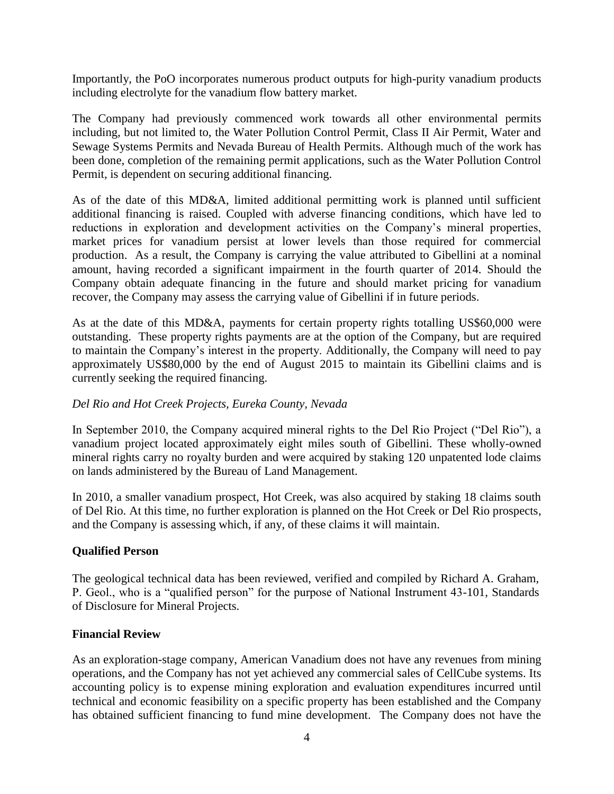Importantly, the PoO incorporates numerous product outputs for high-purity vanadium products including electrolyte for the vanadium flow battery market.

The Company had previously commenced work towards all other environmental permits including, but not limited to, the Water Pollution Control Permit, Class II Air Permit, Water and Sewage Systems Permits and Nevada Bureau of Health Permits. Although much of the work has been done, completion of the remaining permit applications, such as the Water Pollution Control Permit, is dependent on securing additional financing.

As of the date of this MD&A, limited additional permitting work is planned until sufficient additional financing is raised. Coupled with adverse financing conditions, which have led to reductions in exploration and development activities on the Company's mineral properties, market prices for vanadium persist at lower levels than those required for commercial production. As a result, the Company is carrying the value attributed to Gibellini at a nominal amount, having recorded a significant impairment in the fourth quarter of 2014. Should the Company obtain adequate financing in the future and should market pricing for vanadium recover, the Company may assess the carrying value of Gibellini if in future periods.

As at the date of this MD&A, payments for certain property rights totalling US\$60,000 were outstanding. These property rights payments are at the option of the Company, but are required to maintain the Company's interest in the property. Additionally, the Company will need to pay approximately US\$80,000 by the end of August 2015 to maintain its Gibellini claims and is currently seeking the required financing.

#### *Del Rio and Hot Creek Projects, Eureka County, Nevada*

In September 2010, the Company acquired mineral rights to the Del Rio Project ("Del Rio"), a vanadium project located approximately eight miles south of Gibellini. These wholly-owned mineral rights carry no royalty burden and were acquired by staking 120 unpatented lode claims on lands administered by the Bureau of Land Management.

In 2010, a smaller vanadium prospect, Hot Creek, was also acquired by staking 18 claims south of Del Rio. At this time, no further exploration is planned on the Hot Creek or Del Rio prospects, and the Company is assessing which, if any, of these claims it will maintain.

#### **Qualified Person**

The geological technical data has been reviewed, verified and compiled by Richard A. Graham, P. Geol., who is a "qualified person" for the purpose of National Instrument 43-101, Standards of Disclosure for Mineral Projects.

#### **Financial Review**

As an exploration-stage company, American Vanadium does not have any revenues from mining operations, and the Company has not yet achieved any commercial sales of CellCube systems. Its accounting policy is to expense mining exploration and evaluation expenditures incurred until technical and economic feasibility on a specific property has been established and the Company has obtained sufficient financing to fund mine development. The Company does not have the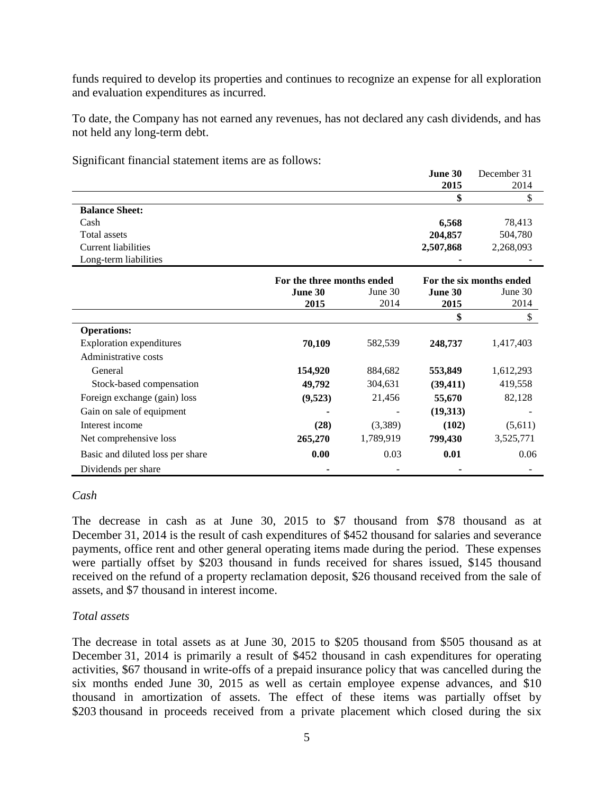funds required to develop its properties and continues to recognize an expense for all exploration and evaluation expenditures as incurred.

To date, the Company has not earned any revenues, has not declared any cash dividends, and has not held any long-term debt.

|                                  |                            |           | June 30                  | December 31 |
|----------------------------------|----------------------------|-----------|--------------------------|-------------|
|                                  |                            |           | 2015                     | 2014        |
|                                  |                            |           | \$                       | \$          |
| <b>Balance Sheet:</b>            |                            |           |                          |             |
| Cash                             |                            |           | 6,568                    | 78,413      |
| Total assets                     |                            |           | 204,857                  | 504,780     |
| <b>Current liabilities</b>       |                            |           | 2,507,868                | 2,268,093   |
| Long-term liabilities            |                            |           |                          |             |
|                                  | For the three months ended |           | For the six months ended |             |
|                                  | <b>June 30</b>             | June 30   | June 30                  | June 30     |
|                                  | 2015                       | 2014      | 2015                     | 2014        |
|                                  |                            |           | \$                       | \$          |
| <b>Operations:</b>               |                            |           |                          |             |
| <b>Exploration expenditures</b>  | 70,109                     | 582,539   | 248,737                  | 1,417,403   |
| Administrative costs             |                            |           |                          |             |
| General                          | 154,920                    | 884,682   | 553,849                  | 1,612,293   |
| Stock-based compensation         | 49,792                     | 304,631   | (39, 411)                | 419,558     |
| Foreign exchange (gain) loss     | (9,523)                    | 21,456    | 55,670                   | 82,128      |
| Gain on sale of equipment        |                            |           | (19,313)                 |             |
| Interest income                  | (28)                       | (3,389)   | (102)                    | (5,611)     |
| Net comprehensive loss           | 265,270                    | 1,789,919 | 799,430                  | 3,525,771   |
| Basic and diluted loss per share | 0.00                       | 0.03      | 0.01                     | 0.06        |
| Dividends per share              |                            |           |                          |             |

Significant financial statement items are as follows:

#### *Cash*

The decrease in cash as at June 30, 2015 to \$7 thousand from \$78 thousand as at December 31, 2014 is the result of cash expenditures of \$452 thousand for salaries and severance payments, office rent and other general operating items made during the period. These expenses were partially offset by \$203 thousand in funds received for shares issued, \$145 thousand received on the refund of a property reclamation deposit, \$26 thousand received from the sale of assets, and \$7 thousand in interest income.

#### *Total assets*

The decrease in total assets as at June 30, 2015 to \$205 thousand from \$505 thousand as at December 31, 2014 is primarily a result of \$452 thousand in cash expenditures for operating activities, \$67 thousand in write-offs of a prepaid insurance policy that was cancelled during the six months ended June 30, 2015 as well as certain employee expense advances, and \$10 thousand in amortization of assets. The effect of these items was partially offset by \$203 thousand in proceeds received from a private placement which closed during the six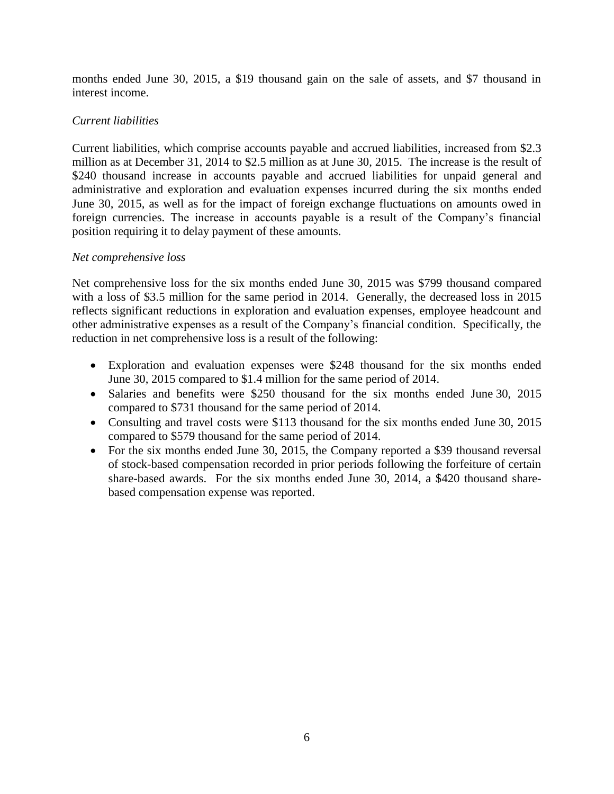months ended June 30, 2015, a \$19 thousand gain on the sale of assets, and \$7 thousand in interest income.

#### *Current liabilities*

Current liabilities, which comprise accounts payable and accrued liabilities, increased from \$2.3 million as at December 31, 2014 to \$2.5 million as at June 30, 2015. The increase is the result of \$240 thousand increase in accounts payable and accrued liabilities for unpaid general and administrative and exploration and evaluation expenses incurred during the six months ended June 30, 2015, as well as for the impact of foreign exchange fluctuations on amounts owed in foreign currencies. The increase in accounts payable is a result of the Company's financial position requiring it to delay payment of these amounts.

#### *Net comprehensive loss*

Net comprehensive loss for the six months ended June 30, 2015 was \$799 thousand compared with a loss of \$3.5 million for the same period in 2014. Generally, the decreased loss in 2015 reflects significant reductions in exploration and evaluation expenses, employee headcount and other administrative expenses as a result of the Company's financial condition. Specifically, the reduction in net comprehensive loss is a result of the following:

- Exploration and evaluation expenses were \$248 thousand for the six months ended June 30, 2015 compared to \$1.4 million for the same period of 2014.
- Salaries and benefits were \$250 thousand for the six months ended June 30, 2015 compared to \$731 thousand for the same period of 2014.
- Consulting and travel costs were \$113 thousand for the six months ended June 30, 2015 compared to \$579 thousand for the same period of 2014.
- For the six months ended June 30, 2015, the Company reported a \$39 thousand reversal of stock-based compensation recorded in prior periods following the forfeiture of certain share-based awards. For the six months ended June 30, 2014, a \$420 thousand sharebased compensation expense was reported.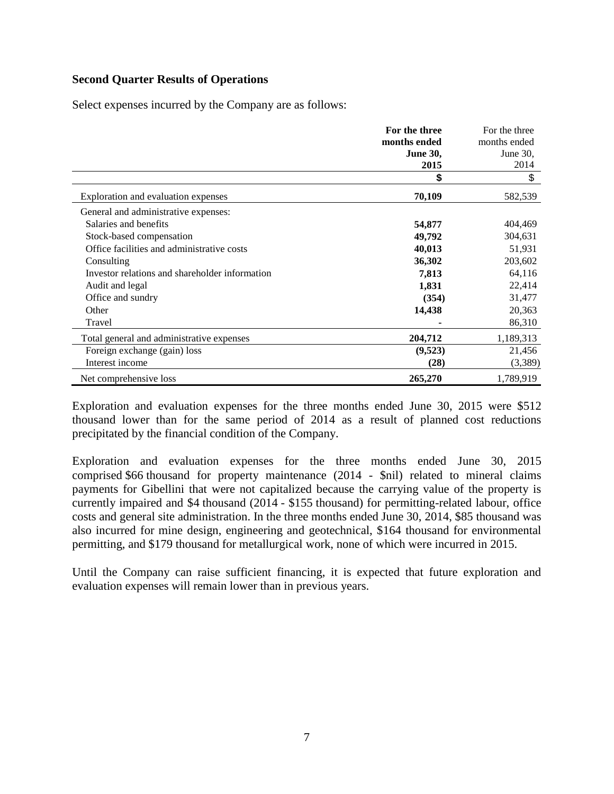#### **Second Quarter Results of Operations**

Select expenses incurred by the Company are as follows:

|                                                | For the three   | For the three |
|------------------------------------------------|-----------------|---------------|
|                                                | months ended    | months ended  |
|                                                | <b>June 30,</b> | June 30,      |
|                                                | 2015            | 2014          |
|                                                | \$              | \$            |
| Exploration and evaluation expenses            | 70,109          | 582,539       |
| General and administrative expenses:           |                 |               |
| Salaries and benefits                          | 54,877          | 404,469       |
| Stock-based compensation                       | 49,792          | 304,631       |
| Office facilities and administrative costs     | 40,013          | 51,931        |
| Consulting                                     | 36,302          | 203,602       |
| Investor relations and shareholder information | 7,813           | 64,116        |
| Audit and legal                                | 1,831           | 22,414        |
| Office and sundry                              | (354)           | 31,477        |
| Other                                          | 14,438          | 20,363        |
| Travel                                         |                 | 86,310        |
| Total general and administrative expenses      | 204,712         | 1,189,313     |
| Foreign exchange (gain) loss                   | (9,523)         | 21,456        |
| Interest income                                | (28)            | (3,389)       |
| Net comprehensive loss                         | 265,270         | 1,789,919     |

Exploration and evaluation expenses for the three months ended June 30, 2015 were \$512 thousand lower than for the same period of 2014 as a result of planned cost reductions precipitated by the financial condition of the Company.

Exploration and evaluation expenses for the three months ended June 30, 2015 comprised \$66 thousand for property maintenance (2014 - \$nil) related to mineral claims payments for Gibellini that were not capitalized because the carrying value of the property is currently impaired and \$4 thousand (2014 - \$155 thousand) for permitting-related labour, office costs and general site administration. In the three months ended June 30, 2014, \$85 thousand was also incurred for mine design, engineering and geotechnical, \$164 thousand for environmental permitting, and \$179 thousand for metallurgical work, none of which were incurred in 2015.

Until the Company can raise sufficient financing, it is expected that future exploration and evaluation expenses will remain lower than in previous years.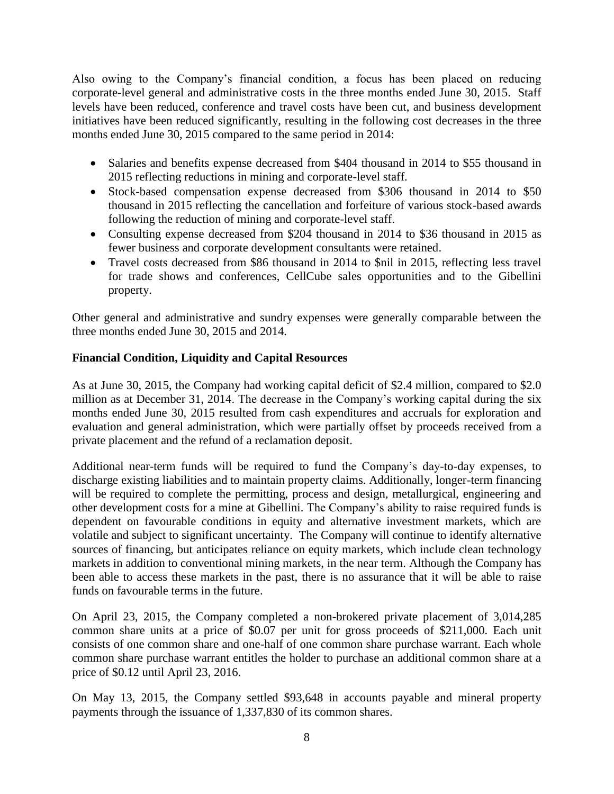Also owing to the Company's financial condition, a focus has been placed on reducing corporate-level general and administrative costs in the three months ended June 30, 2015. Staff levels have been reduced, conference and travel costs have been cut, and business development initiatives have been reduced significantly, resulting in the following cost decreases in the three months ended June 30, 2015 compared to the same period in 2014:

- Salaries and benefits expense decreased from \$404 thousand in 2014 to \$55 thousand in 2015 reflecting reductions in mining and corporate-level staff.
- Stock-based compensation expense decreased from \$306 thousand in 2014 to \$50 thousand in 2015 reflecting the cancellation and forfeiture of various stock-based awards following the reduction of mining and corporate-level staff.
- Consulting expense decreased from \$204 thousand in 2014 to \$36 thousand in 2015 as fewer business and corporate development consultants were retained.
- Travel costs decreased from \$86 thousand in 2014 to \$nil in 2015, reflecting less travel for trade shows and conferences, CellCube sales opportunities and to the Gibellini property.

Other general and administrative and sundry expenses were generally comparable between the three months ended June 30, 2015 and 2014.

## **Financial Condition, Liquidity and Capital Resources**

As at June 30, 2015, the Company had working capital deficit of \$2.4 million, compared to \$2.0 million as at December 31, 2014. The decrease in the Company's working capital during the six months ended June 30, 2015 resulted from cash expenditures and accruals for exploration and evaluation and general administration, which were partially offset by proceeds received from a private placement and the refund of a reclamation deposit.

Additional near-term funds will be required to fund the Company's day-to-day expenses, to discharge existing liabilities and to maintain property claims. Additionally, longer-term financing will be required to complete the permitting, process and design, metallurgical, engineering and other development costs for a mine at Gibellini. The Company's ability to raise required funds is dependent on favourable conditions in equity and alternative investment markets, which are volatile and subject to significant uncertainty. The Company will continue to identify alternative sources of financing, but anticipates reliance on equity markets, which include clean technology markets in addition to conventional mining markets, in the near term. Although the Company has been able to access these markets in the past, there is no assurance that it will be able to raise funds on favourable terms in the future.

On April 23, 2015, the Company completed a non-brokered private placement of 3,014,285 common share units at a price of \$0.07 per unit for gross proceeds of \$211,000. Each unit consists of one common share and one-half of one common share purchase warrant. Each whole common share purchase warrant entitles the holder to purchase an additional common share at a price of \$0.12 until April 23, 2016.

On May 13, 2015, the Company settled \$93,648 in accounts payable and mineral property payments through the issuance of 1,337,830 of its common shares.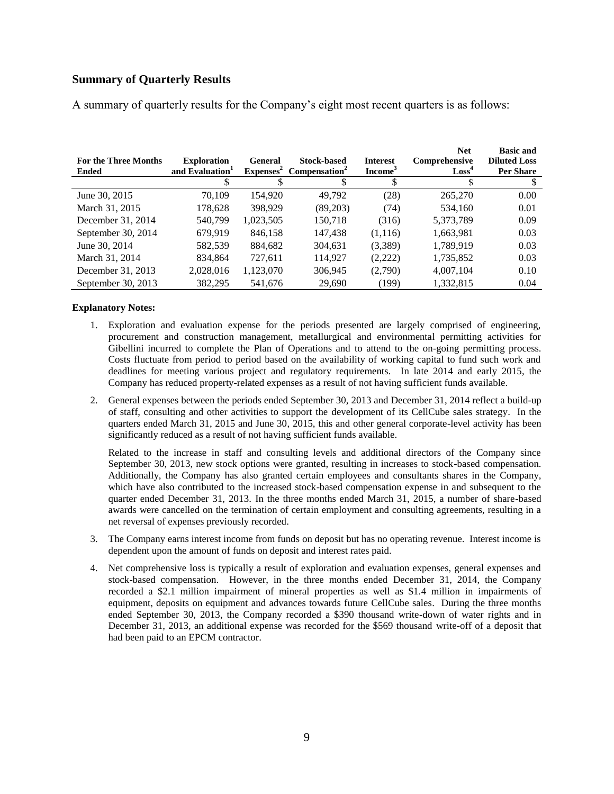#### **Summary of Quarterly Results**

| <b>For the Three Months</b><br><b>Ended</b> | <b>Exploration</b><br>and Evaluation <sup>1</sup> | <b>General</b><br>$Expenses^2$ | <b>Stock-based</b><br>Compensation <sup>2</sup> | <b>Interest</b><br>Income <sup>3</sup> | <b>Net</b><br>Comprehensive<br>$\text{Loss}^4$ | <b>Basic and</b><br><b>Diluted Loss</b><br>Per Share |
|---------------------------------------------|---------------------------------------------------|--------------------------------|-------------------------------------------------|----------------------------------------|------------------------------------------------|------------------------------------------------------|
|                                             |                                                   |                                |                                                 |                                        |                                                |                                                      |
| June 30, 2015                               | 70.109                                            | 154.920                        | 49.792                                          | (28)                                   | 265,270                                        | 0.00                                                 |
| March 31, 2015                              | 178,628                                           | 398.929                        | (89,203)                                        | (74)                                   | 534,160                                        | 0.01                                                 |
| December 31, 2014                           | 540.799                                           | 1,023,505                      | 150,718                                         | (316)                                  | 5,373,789                                      | 0.09                                                 |
| September 30, 2014                          | 679,919                                           | 846.158                        | 147,438                                         | (1,116)                                | 1,663,981                                      | 0.03                                                 |
| June 30, 2014                               | 582,539                                           | 884,682                        | 304,631                                         | (3,389)                                | 1,789,919                                      | 0.03                                                 |
| March 31, 2014                              | 834,864                                           | 727,611                        | 114,927                                         | (2,222)                                | 1,735,852                                      | 0.03                                                 |
| December 31, 2013                           | 2,028,016                                         | 1,123,070                      | 306,945                                         | (2,790)                                | 4,007,104                                      | 0.10                                                 |
| September 30, 2013                          | 382,295                                           | 541,676                        | 29,690                                          | (199)                                  | 1,332,815                                      | 0.04                                                 |

A summary of quarterly results for the Company's eight most recent quarters is as follows:

#### **Explanatory Notes:**

- 1. Exploration and evaluation expense for the periods presented are largely comprised of engineering, procurement and construction management, metallurgical and environmental permitting activities for Gibellini incurred to complete the Plan of Operations and to attend to the on-going permitting process. Costs fluctuate from period to period based on the availability of working capital to fund such work and deadlines for meeting various project and regulatory requirements. In late 2014 and early 2015, the Company has reduced property-related expenses as a result of not having sufficient funds available.
- 2. General expenses between the periods ended September 30, 2013 and December 31, 2014 reflect a build-up of staff, consulting and other activities to support the development of its CellCube sales strategy. In the quarters ended March 31, 2015 and June 30, 2015, this and other general corporate-level activity has been significantly reduced as a result of not having sufficient funds available.

Related to the increase in staff and consulting levels and additional directors of the Company since September 30, 2013, new stock options were granted, resulting in increases to stock-based compensation. Additionally, the Company has also granted certain employees and consultants shares in the Company, which have also contributed to the increased stock-based compensation expense in and subsequent to the quarter ended December 31, 2013. In the three months ended March 31, 2015, a number of share-based awards were cancelled on the termination of certain employment and consulting agreements, resulting in a net reversal of expenses previously recorded.

- 3. The Company earns interest income from funds on deposit but has no operating revenue. Interest income is dependent upon the amount of funds on deposit and interest rates paid.
- 4. Net comprehensive loss is typically a result of exploration and evaluation expenses, general expenses and stock-based compensation. However, in the three months ended December 31, 2014, the Company recorded a \$2.1 million impairment of mineral properties as well as \$1.4 million in impairments of equipment, deposits on equipment and advances towards future CellCube sales. During the three months ended September 30, 2013, the Company recorded a \$390 thousand write-down of water rights and in December 31, 2013, an additional expense was recorded for the \$569 thousand write-off of a deposit that had been paid to an EPCM contractor.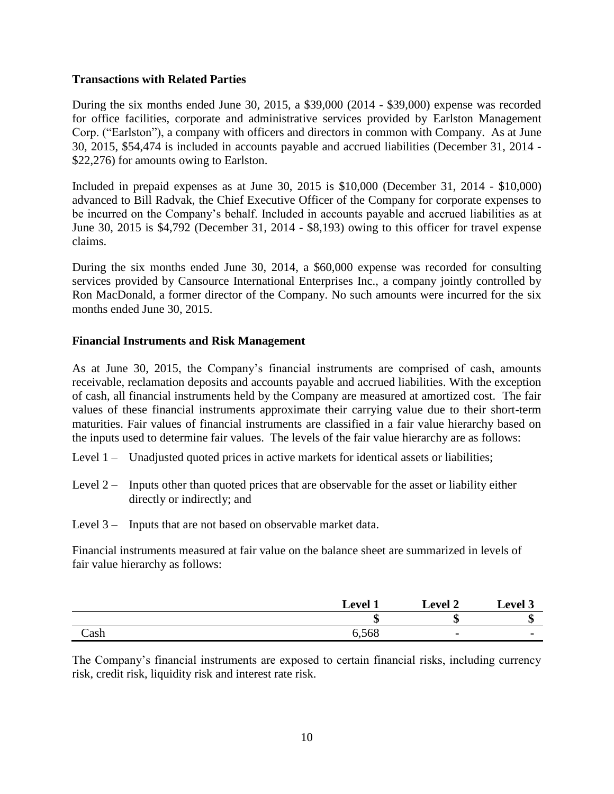#### **Transactions with Related Parties**

During the six months ended June 30, 2015, a \$39,000 (2014 - \$39,000) expense was recorded for office facilities, corporate and administrative services provided by Earlston Management Corp. ("Earlston"), a company with officers and directors in common with Company. As at June 30, 2015, \$54,474 is included in accounts payable and accrued liabilities (December 31, 2014 - \$22,276) for amounts owing to Earlston.

Included in prepaid expenses as at June 30, 2015 is \$10,000 (December 31, 2014 - \$10,000) advanced to Bill Radvak, the Chief Executive Officer of the Company for corporate expenses to be incurred on the Company's behalf. Included in accounts payable and accrued liabilities as at June 30, 2015 is \$4,792 (December 31, 2014 - \$8,193) owing to this officer for travel expense claims.

During the six months ended June 30, 2014, a \$60,000 expense was recorded for consulting services provided by Cansource International Enterprises Inc., a company jointly controlled by Ron MacDonald, a former director of the Company. No such amounts were incurred for the six months ended June 30, 2015.

#### **Financial Instruments and Risk Management**

As at June 30, 2015, the Company's financial instruments are comprised of cash, amounts receivable, reclamation deposits and accounts payable and accrued liabilities. With the exception of cash, all financial instruments held by the Company are measured at amortized cost. The fair values of these financial instruments approximate their carrying value due to their short-term maturities. Fair values of financial instruments are classified in a fair value hierarchy based on the inputs used to determine fair values. The levels of the fair value hierarchy are as follows:

- Level 1 Unadjusted quoted prices in active markets for identical assets or liabilities;
- Level  $2 -$  Inputs other than quoted prices that are observable for the asset or liability either directly or indirectly; and
- Level 3 Inputs that are not based on observable market data.

Financial instruments measured at fair value on the balance sheet are summarized in levels of fair value hierarchy as follows:

|      | Level | Level 2 | <b>Level 3</b> |
|------|-------|---------|----------------|
|      | ιП    | æ<br>мD | æ<br>٨D        |
| Cash | 6,568 |         |                |

The Company's financial instruments are exposed to certain financial risks, including currency risk, credit risk, liquidity risk and interest rate risk.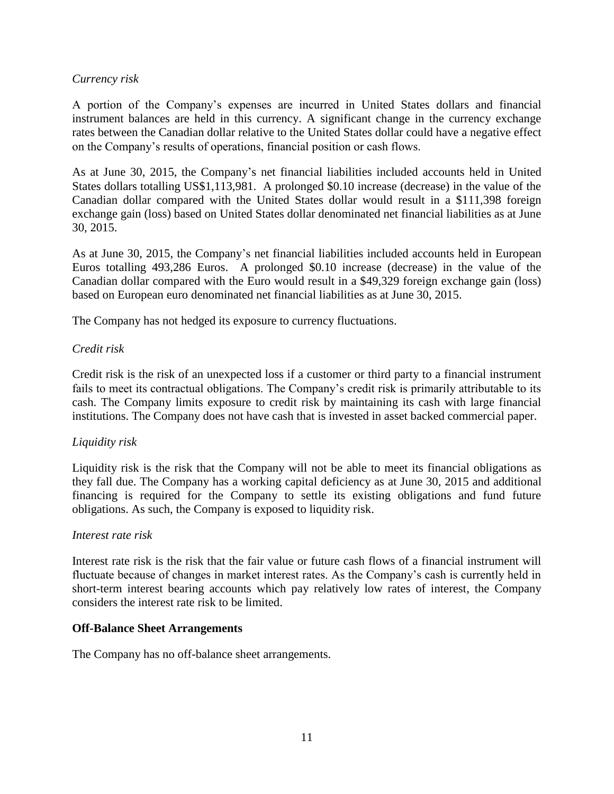#### *Currency risk*

A portion of the Company's expenses are incurred in United States dollars and financial instrument balances are held in this currency. A significant change in the currency exchange rates between the Canadian dollar relative to the United States dollar could have a negative effect on the Company's results of operations, financial position or cash flows.

As at June 30, 2015, the Company's net financial liabilities included accounts held in United States dollars totalling US\$1,113,981. A prolonged \$0.10 increase (decrease) in the value of the Canadian dollar compared with the United States dollar would result in a \$111,398 foreign exchange gain (loss) based on United States dollar denominated net financial liabilities as at June 30, 2015.

As at June 30, 2015, the Company's net financial liabilities included accounts held in European Euros totalling 493,286 Euros. A prolonged \$0.10 increase (decrease) in the value of the Canadian dollar compared with the Euro would result in a \$49,329 foreign exchange gain (loss) based on European euro denominated net financial liabilities as at June 30, 2015.

The Company has not hedged its exposure to currency fluctuations.

#### *Credit risk*

Credit risk is the risk of an unexpected loss if a customer or third party to a financial instrument fails to meet its contractual obligations. The Company's credit risk is primarily attributable to its cash. The Company limits exposure to credit risk by maintaining its cash with large financial institutions. The Company does not have cash that is invested in asset backed commercial paper.

## *Liquidity risk*

Liquidity risk is the risk that the Company will not be able to meet its financial obligations as they fall due. The Company has a working capital deficiency as at June 30, 2015 and additional financing is required for the Company to settle its existing obligations and fund future obligations. As such, the Company is exposed to liquidity risk.

#### *Interest rate risk*

Interest rate risk is the risk that the fair value or future cash flows of a financial instrument will fluctuate because of changes in market interest rates. As the Company's cash is currently held in short-term interest bearing accounts which pay relatively low rates of interest, the Company considers the interest rate risk to be limited.

#### **Off-Balance Sheet Arrangements**

The Company has no off-balance sheet arrangements.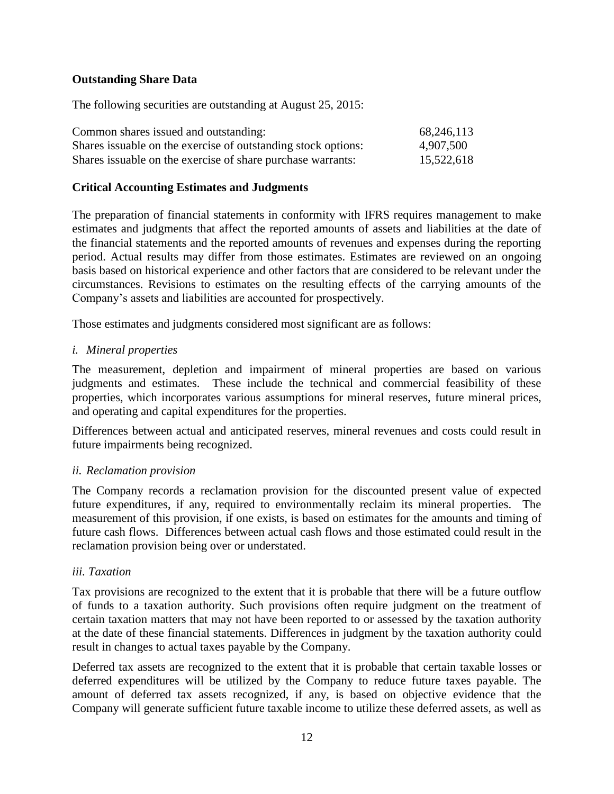#### **Outstanding Share Data**

The following securities are outstanding at August 25, 2015:

| Common shares issued and outstanding:                          | 68,246,113 |
|----------------------------------------------------------------|------------|
| Shares is suable on the exercise of outstanding stock options: | 4,907,500  |
| Shares is suable on the exercise of share purchase warrants:   | 15,522,618 |

#### **Critical Accounting Estimates and Judgments**

The preparation of financial statements in conformity with IFRS requires management to make estimates and judgments that affect the reported amounts of assets and liabilities at the date of the financial statements and the reported amounts of revenues and expenses during the reporting period. Actual results may differ from those estimates. Estimates are reviewed on an ongoing basis based on historical experience and other factors that are considered to be relevant under the circumstances. Revisions to estimates on the resulting effects of the carrying amounts of the Company's assets and liabilities are accounted for prospectively.

Those estimates and judgments considered most significant are as follows:

#### *i. Mineral properties*

The measurement, depletion and impairment of mineral properties are based on various judgments and estimates. These include the technical and commercial feasibility of these properties, which incorporates various assumptions for mineral reserves, future mineral prices, and operating and capital expenditures for the properties.

Differences between actual and anticipated reserves, mineral revenues and costs could result in future impairments being recognized.

#### *ii. Reclamation provision*

The Company records a reclamation provision for the discounted present value of expected future expenditures, if any, required to environmentally reclaim its mineral properties. The measurement of this provision, if one exists, is based on estimates for the amounts and timing of future cash flows. Differences between actual cash flows and those estimated could result in the reclamation provision being over or understated.

#### *iii. Taxation*

Tax provisions are recognized to the extent that it is probable that there will be a future outflow of funds to a taxation authority. Such provisions often require judgment on the treatment of certain taxation matters that may not have been reported to or assessed by the taxation authority at the date of these financial statements. Differences in judgment by the taxation authority could result in changes to actual taxes payable by the Company.

Deferred tax assets are recognized to the extent that it is probable that certain taxable losses or deferred expenditures will be utilized by the Company to reduce future taxes payable. The amount of deferred tax assets recognized, if any, is based on objective evidence that the Company will generate sufficient future taxable income to utilize these deferred assets, as well as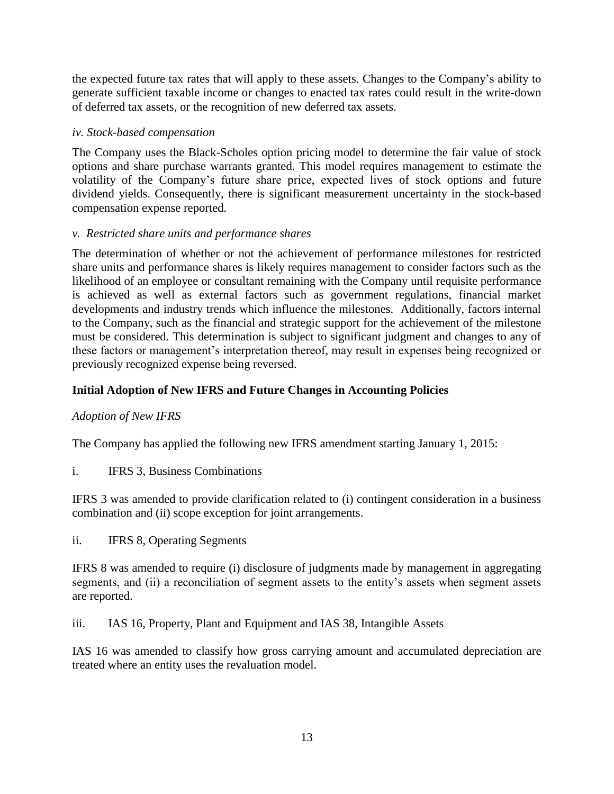the expected future tax rates that will apply to these assets. Changes to the Company's ability to generate sufficient taxable income or changes to enacted tax rates could result in the write-down of deferred tax assets, or the recognition of new deferred tax assets.

## *iv. Stock-based compensation*

The Company uses the Black-Scholes option pricing model to determine the fair value of stock options and share purchase warrants granted. This model requires management to estimate the volatility of the Company's future share price, expected lives of stock options and future dividend yields. Consequently, there is significant measurement uncertainty in the stock-based compensation expense reported.

## *v. Restricted share units and performance shares*

The determination of whether or not the achievement of performance milestones for restricted share units and performance shares is likely requires management to consider factors such as the likelihood of an employee or consultant remaining with the Company until requisite performance is achieved as well as external factors such as government regulations, financial market developments and industry trends which influence the milestones. Additionally, factors internal to the Company, such as the financial and strategic support for the achievement of the milestone must be considered. This determination is subject to significant judgment and changes to any of these factors or management's interpretation thereof, may result in expenses being recognized or previously recognized expense being reversed.

## **Initial Adoption of New IFRS and Future Changes in Accounting Policies**

## *Adoption of New IFRS*

The Company has applied the following new IFRS amendment starting January 1, 2015:

i. IFRS 3, Business Combinations

IFRS 3 was amended to provide clarification related to (i) contingent consideration in a business combination and (ii) scope exception for joint arrangements.

ii. IFRS 8, Operating Segments

IFRS 8 was amended to require (i) disclosure of judgments made by management in aggregating segments, and (ii) a reconciliation of segment assets to the entity's assets when segment assets are reported.

iii. IAS 16, Property, Plant and Equipment and IAS 38, Intangible Assets

IAS 16 was amended to classify how gross carrying amount and accumulated depreciation are treated where an entity uses the revaluation model.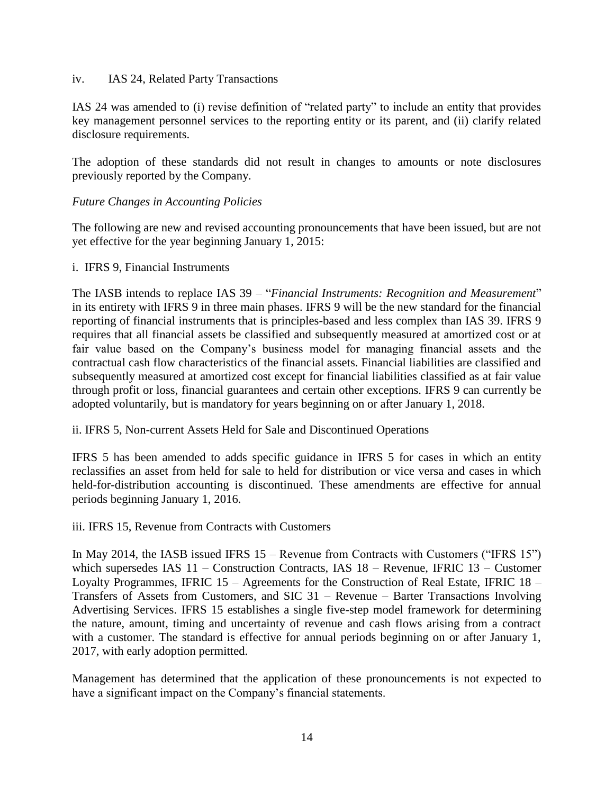#### iv. IAS 24, Related Party Transactions

IAS 24 was amended to (i) revise definition of "related party" to include an entity that provides key management personnel services to the reporting entity or its parent, and (ii) clarify related disclosure requirements.

The adoption of these standards did not result in changes to amounts or note disclosures previously reported by the Company.

#### *Future Changes in Accounting Policies*

The following are new and revised accounting pronouncements that have been issued, but are not yet effective for the year beginning January 1, 2015:

#### i. IFRS 9, Financial Instruments

The IASB intends to replace IAS 39 – "*Financial Instruments: Recognition and Measurement*" in its entirety with IFRS 9 in three main phases. IFRS 9 will be the new standard for the financial reporting of financial instruments that is principles-based and less complex than IAS 39. IFRS 9 requires that all financial assets be classified and subsequently measured at amortized cost or at fair value based on the Company's business model for managing financial assets and the contractual cash flow characteristics of the financial assets. Financial liabilities are classified and subsequently measured at amortized cost except for financial liabilities classified as at fair value through profit or loss, financial guarantees and certain other exceptions. IFRS 9 can currently be adopted voluntarily, but is mandatory for years beginning on or after January 1, 2018.

ii. IFRS 5, Non-current Assets Held for Sale and Discontinued Operations

IFRS 5 has been amended to adds specific guidance in IFRS 5 for cases in which an entity reclassifies an asset from held for sale to held for distribution or vice versa and cases in which held-for-distribution accounting is discontinued. These amendments are effective for annual periods beginning January 1, 2016.

iii. IFRS 15, Revenue from Contracts with Customers

In May 2014, the IASB issued IFRS 15 – Revenue from Contracts with Customers ("IFRS 15") which supersedes IAS 11 – Construction Contracts, IAS 18 – Revenue, IFRIC 13 – Customer Loyalty Programmes, IFRIC 15 – Agreements for the Construction of Real Estate, IFRIC 18 – Transfers of Assets from Customers, and SIC 31 – Revenue – Barter Transactions Involving Advertising Services. IFRS 15 establishes a single five-step model framework for determining the nature, amount, timing and uncertainty of revenue and cash flows arising from a contract with a customer. The standard is effective for annual periods beginning on or after January 1, 2017, with early adoption permitted.

Management has determined that the application of these pronouncements is not expected to have a significant impact on the Company's financial statements.